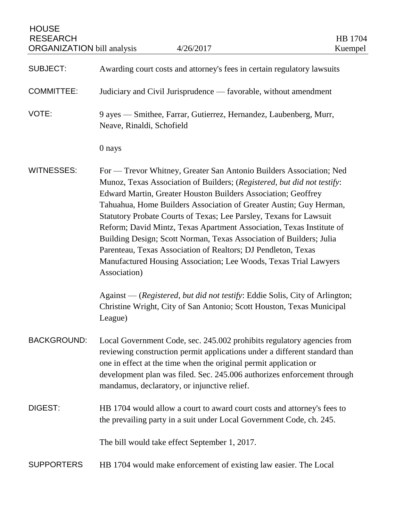| <b>HOUSE</b><br><b>RESEARCH</b><br><b>ORGANIZATION bill analysis</b> | 4/26/2017                                                                                                                                                                                                                                                                                                                                                                                                                                                                                                                                                                                                                                                              | HB 1704<br>Kuempel |
|----------------------------------------------------------------------|------------------------------------------------------------------------------------------------------------------------------------------------------------------------------------------------------------------------------------------------------------------------------------------------------------------------------------------------------------------------------------------------------------------------------------------------------------------------------------------------------------------------------------------------------------------------------------------------------------------------------------------------------------------------|--------------------|
| <b>SUBJECT:</b>                                                      | Awarding court costs and attorney's fees in certain regulatory lawsuits                                                                                                                                                                                                                                                                                                                                                                                                                                                                                                                                                                                                |                    |
| <b>COMMITTEE:</b>                                                    | Judiciary and Civil Jurisprudence — favorable, without amendment                                                                                                                                                                                                                                                                                                                                                                                                                                                                                                                                                                                                       |                    |
| VOTE:                                                                | 9 ayes — Smithee, Farrar, Gutierrez, Hernandez, Laubenberg, Murr,<br>Neave, Rinaldi, Schofield                                                                                                                                                                                                                                                                                                                                                                                                                                                                                                                                                                         |                    |
|                                                                      | 0 nays                                                                                                                                                                                                                                                                                                                                                                                                                                                                                                                                                                                                                                                                 |                    |
| <b>WITNESSES:</b>                                                    | For — Trevor Whitney, Greater San Antonio Builders Association; Ned<br>Munoz, Texas Association of Builders; (Registered, but did not testify:<br>Edward Martin, Greater Houston Builders Association; Geoffrey<br>Tahuahua, Home Builders Association of Greater Austin; Guy Herman,<br><b>Statutory Probate Courts of Texas; Lee Parsley, Texans for Lawsuit</b><br>Reform; David Mintz, Texas Apartment Association, Texas Institute of<br>Building Design; Scott Norman, Texas Association of Builders; Julia<br>Parenteau, Texas Association of Realtors; DJ Pendleton, Texas<br>Manufactured Housing Association; Lee Woods, Texas Trial Lawyers<br>Association) |                    |
|                                                                      | Against — (Registered, but did not testify: Eddie Solis, City of Arlington;<br>Christine Wright, City of San Antonio; Scott Houston, Texas Municipal<br>League)                                                                                                                                                                                                                                                                                                                                                                                                                                                                                                        |                    |
| <b>BACKGROUND:</b>                                                   | Local Government Code, sec. 245.002 prohibits regulatory agencies from<br>reviewing construction permit applications under a different standard than<br>one in effect at the time when the original permit application or<br>development plan was filed. Sec. 245.006 authorizes enforcement through<br>mandamus, declaratory, or injunctive relief.                                                                                                                                                                                                                                                                                                                   |                    |
| DIGEST:                                                              | HB 1704 would allow a court to award court costs and attorney's fees to<br>the prevailing party in a suit under Local Government Code, ch. 245.                                                                                                                                                                                                                                                                                                                                                                                                                                                                                                                        |                    |
|                                                                      | The bill would take effect September 1, 2017.                                                                                                                                                                                                                                                                                                                                                                                                                                                                                                                                                                                                                          |                    |
| <b>SUPPORTERS</b>                                                    | HB 1704 would make enforcement of existing law easier. The Local                                                                                                                                                                                                                                                                                                                                                                                                                                                                                                                                                                                                       |                    |